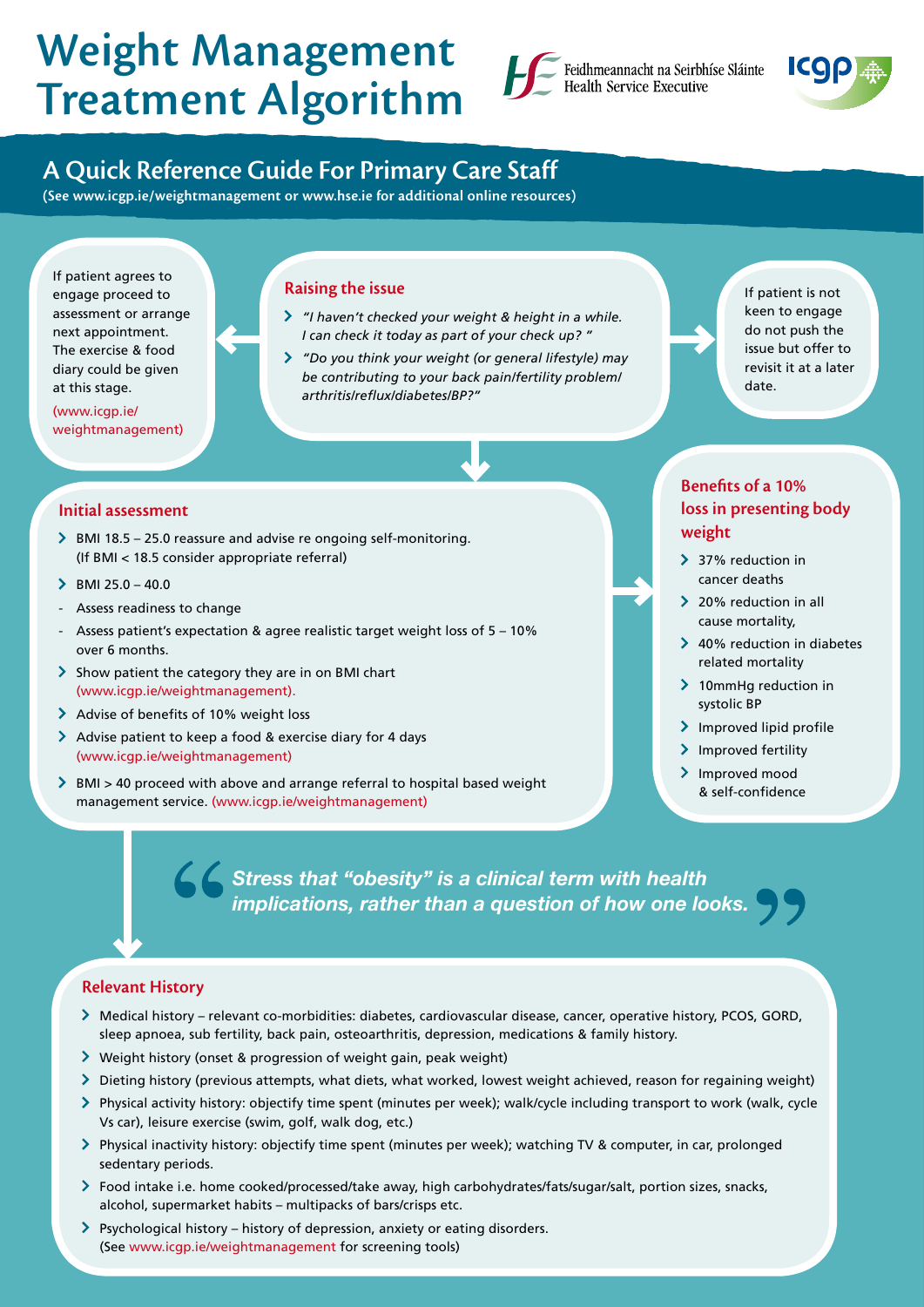# Weight Management Treatment Algorithm





# A Quick Reference Guide For Primary Care Staff

(See www.icgp.ie/weightmanagement or www.hse.ie for additional online resources)

If patient agrees to engage proceed to assessment or arrange next appointment. The exercise & food diary could be given at this stage.

(www.icgp.ie/ weightmanagement)

# Raising the issue

- *"I haven't checked your weight & height in a while. I can check it today as part of your check up? "*
- *"Do you think your weight (or general lifestyle) may be contributing to your back pain/fertility problem/ arthritis/reflux/diabetes/BP?"*

If patient is not keen to engage do not push the issue but offer to revisit it at a later date.

# Initial assessment

- $\triangleright$  BMI 18.5 25.0 reassure and advise re ongoing self-monitoring. (If BMI < 18.5 consider appropriate referral)
- $\triangleright$  BMI 25.0 40.0
- Assess readiness to change
- Assess patient's expectation & agree realistic target weight loss of 5 10% over 6 months.
- $\geq$  Show patient the category they are in on BMI chart (www.icgp.ie/weightmanagement).
- > Advise of benefits of 10% weight loss
- Advise patient to keep a food & exercise diary for 4 days (www.icgp.ie/weightmanagement)
- ▶ BMI > 40 proceed with above and arrange referral to hospital based weight management service. (www.icgp.ie/weightmanagement)

Benefits of a 10% loss in presenting body weight

- > 37% reduction in cancer deaths
- > 20% reduction in all cause mortality,
- **→ 40% reduction in diabetes** related mortality
- > 10mmHg reduction in systolic BP
- $\sum$  Improved lipid profile
- > Improved fertility
- > Improved mood & self-confidence

*Stress that "obesity" is a clinical term with health implications, rather than a question of how one looks.*

# Relevant History

- Medical history relevant co-morbidities: diabetes, cardiovascular disease, cancer, operative history, PCOS, GORD, sleep apnoea, sub fertility, back pain, osteoarthritis, depression, medications & family history.
- Weight history (onset & progression of weight gain, peak weight)
- $\geq$  Dieting history (previous attempts, what diets, what worked, lowest weight achieved, reason for regaining weight)
- Physical activity history: objectify time spent (minutes per week); walk/cycle including transport to work (walk, cycle Vs car), leisure exercise (swim, golf, walk dog, etc.)
- Physical inactivity history: objectify time spent (minutes per week); watching TV & computer, in car, prolonged sedentary periods.
- Food intake i.e. home cooked/processed/take away, high carbohydrates/fats/sugar/salt, portion sizes, snacks, alcohol, supermarket habits – multipacks of bars/crisps etc.
- Psychological history history of depression, anxiety or eating disorders. (See www.icgp.ie/weightmanagement for screening tools)